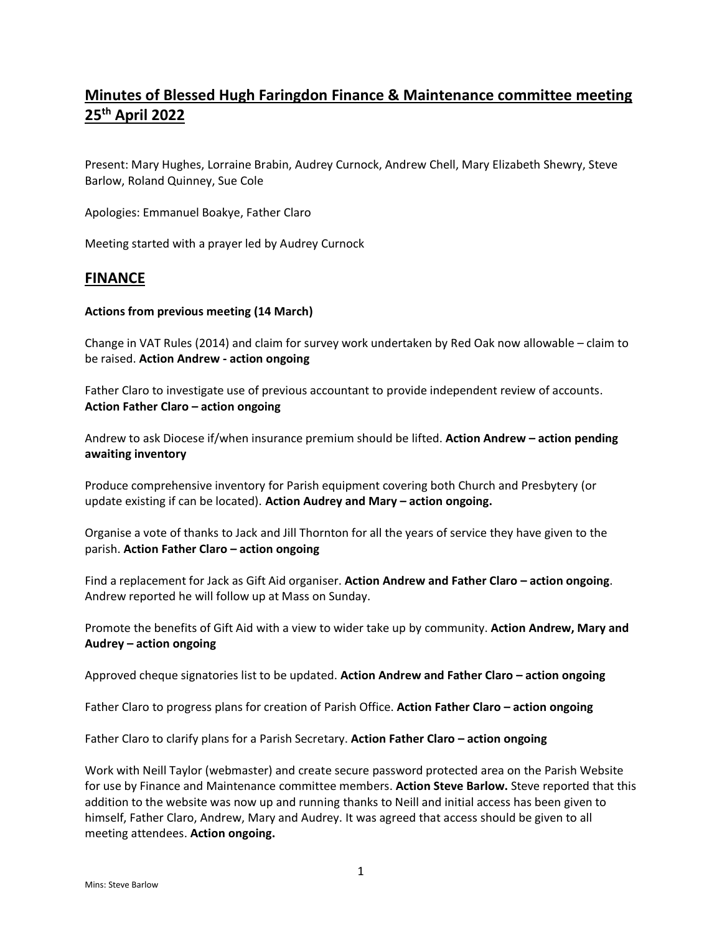# **Minutes of Blessed Hugh Faringdon Finance & Maintenance committee meeting 25th April 2022**

Present: Mary Hughes, Lorraine Brabin, Audrey Curnock, Andrew Chell, Mary Elizabeth Shewry, Steve Barlow, Roland Quinney, Sue Cole

Apologies: Emmanuel Boakye, Father Claro

Meeting started with a prayer led by Audrey Curnock

## **FINANCE**

#### **Actions from previous meeting (14 March)**

Change in VAT Rules (2014) and claim for survey work undertaken by Red Oak now allowable – claim to be raised. **Action Andrew - action ongoing**

Father Claro to investigate use of previous accountant to provide independent review of accounts. **Action Father Claro – action ongoing**

Andrew to ask Diocese if/when insurance premium should be lifted. **Action Andrew – action pending awaiting inventory**

Produce comprehensive inventory for Parish equipment covering both Church and Presbytery (or update existing if can be located). **Action Audrey and Mary – action ongoing.**

Organise a vote of thanks to Jack and Jill Thornton for all the years of service they have given to the parish. **Action Father Claro – action ongoing**

Find a replacement for Jack as Gift Aid organiser. **Action Andrew and Father Claro – action ongoing**. Andrew reported he will follow up at Mass on Sunday.

Promote the benefits of Gift Aid with a view to wider take up by community. **Action Andrew, Mary and Audrey – action ongoing**

Approved cheque signatories list to be updated. **Action Andrew and Father Claro – action ongoing**

Father Claro to progress plans for creation of Parish Office. **Action Father Claro – action ongoing**

Father Claro to clarify plans for a Parish Secretary. **Action Father Claro – action ongoing**

Work with Neill Taylor (webmaster) and create secure password protected area on the Parish Website for use by Finance and Maintenance committee members. **Action Steve Barlow.** Steve reported that this addition to the website was now up and running thanks to Neill and initial access has been given to himself, Father Claro, Andrew, Mary and Audrey. It was agreed that access should be given to all meeting attendees. **Action ongoing.**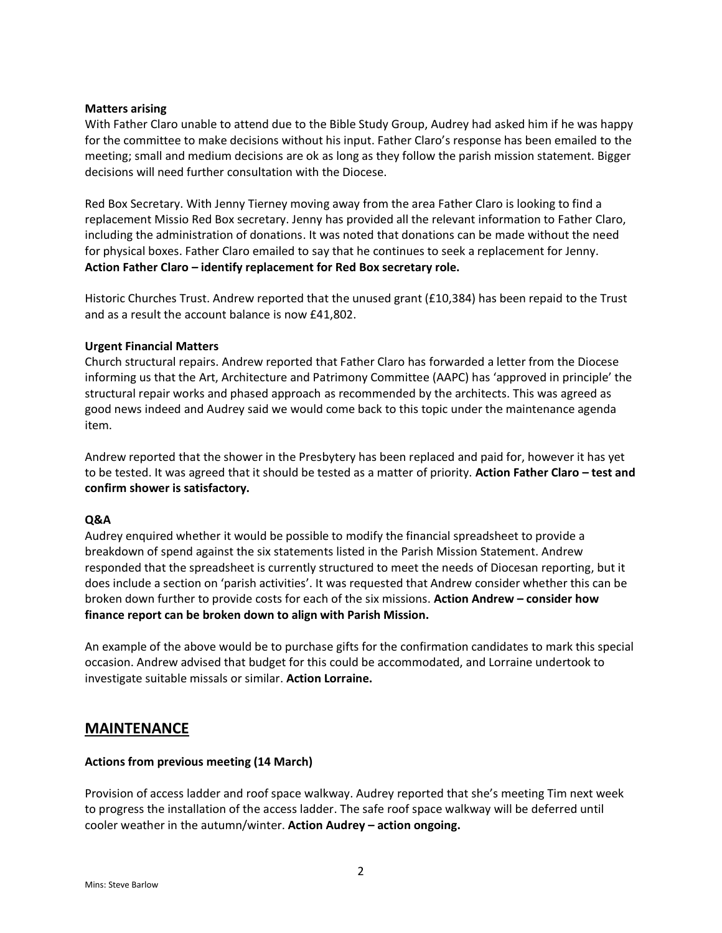#### **Matters arising**

With Father Claro unable to attend due to the Bible Study Group, Audrey had asked him if he was happy for the committee to make decisions without his input. Father Claro's response has been emailed to the meeting; small and medium decisions are ok as long as they follow the parish mission statement. Bigger decisions will need further consultation with the Diocese.

Red Box Secretary. With Jenny Tierney moving away from the area Father Claro is looking to find a replacement Missio Red Box secretary. Jenny has provided all the relevant information to Father Claro, including the administration of donations. It was noted that donations can be made without the need for physical boxes. Father Claro emailed to say that he continues to seek a replacement for Jenny. **Action Father Claro – identify replacement for Red Box secretary role.**

Historic Churches Trust. Andrew reported that the unused grant (£10,384) has been repaid to the Trust and as a result the account balance is now £41,802.

#### **Urgent Financial Matters**

Church structural repairs. Andrew reported that Father Claro has forwarded a letter from the Diocese informing us that the Art, Architecture and Patrimony Committee (AAPC) has 'approved in principle' the structural repair works and phased approach as recommended by the architects. This was agreed as good news indeed and Audrey said we would come back to this topic under the maintenance agenda item.

Andrew reported that the shower in the Presbytery has been replaced and paid for, however it has yet to be tested. It was agreed that it should be tested as a matter of priority. **Action Father Claro – test and confirm shower is satisfactory.**

#### **Q&A**

Audrey enquired whether it would be possible to modify the financial spreadsheet to provide a breakdown of spend against the six statements listed in the Parish Mission Statement. Andrew responded that the spreadsheet is currently structured to meet the needs of Diocesan reporting, but it does include a section on 'parish activities'. It was requested that Andrew consider whether this can be broken down further to provide costs for each of the six missions. **Action Andrew – consider how finance report can be broken down to align with Parish Mission.**

An example of the above would be to purchase gifts for the confirmation candidates to mark this special occasion. Andrew advised that budget for this could be accommodated, and Lorraine undertook to investigate suitable missals or similar. **Action Lorraine.**

## **MAINTENANCE**

## **Actions from previous meeting (14 March)**

Provision of access ladder and roof space walkway. Audrey reported that she's meeting Tim next week to progress the installation of the access ladder. The safe roof space walkway will be deferred until cooler weather in the autumn/winter. **Action Audrey – action ongoing.**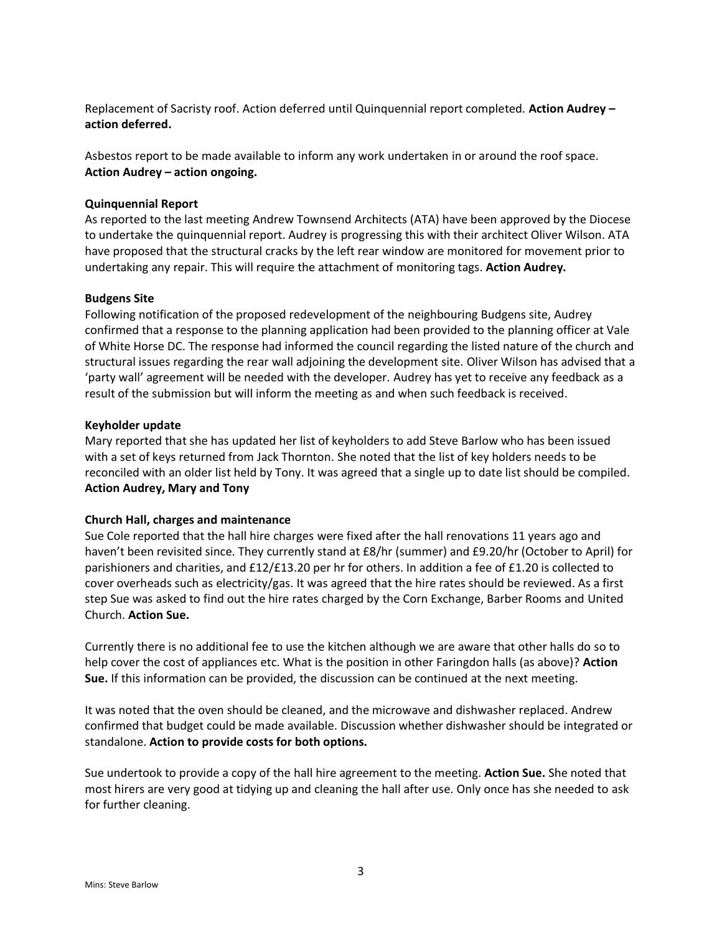Replacement of Sacristy roof. Action deferred until Quinquennial report completed. **Action Audrey – action deferred.**

Asbestos report to be made available to inform any work undertaken in or around the roof space. **Action Audrey – action ongoing.**

#### **Quinquennial Report**

As reported to the last meeting Andrew Townsend Architects (ATA) have been approved by the Diocese to undertake the quinquennial report. Audrey is progressing this with their architect Oliver Wilson. ATA have proposed that the structural cracks by the left rear window are monitored for movement prior to undertaking any repair. This will require the attachment of monitoring tags. **Action Audrey.**

#### **Budgens Site**

Following notification of the proposed redevelopment of the neighbouring Budgens site, Audrey confirmed that a response to the planning application had been provided to the planning officer at Vale of White Horse DC. The response had informed the council regarding the listed nature of the church and structural issues regarding the rear wall adjoining the development site. Oliver Wilson has advised that a 'party wall' agreement will be needed with the developer. Audrey has yet to receive any feedback as a result of the submission but will inform the meeting as and when such feedback is received.

#### **Keyholder update**

Mary reported that she has updated her list of keyholders to add Steve Barlow who has been issued with a set of keys returned from Jack Thornton. She noted that the list of key holders needs to be reconciled with an older list held by Tony. It was agreed that a single up to date list should be compiled. **Action Audrey, Mary and Tony**

## **Church Hall, charges and maintenance**

Sue Cole reported that the hall hire charges were fixed after the hall renovations 11 years ago and haven't been revisited since. They currently stand at £8/hr (summer) and £9.20/hr (October to April) for parishioners and charities, and £12/£13.20 per hr for others. In addition a fee of £1.20 is collected to cover overheads such as electricity/gas. It was agreed that the hire rates should be reviewed. As a first step Sue was asked to find out the hire rates charged by the Corn Exchange, Barber Rooms and United Church. **Action Sue.**

Currently there is no additional fee to use the kitchen although we are aware that other halls do so to help cover the cost of appliances etc. What is the position in other Faringdon halls (as above)? **Action Sue.** If this information can be provided, the discussion can be continued at the next meeting.

It was noted that the oven should be cleaned, and the microwave and dishwasher replaced. Andrew confirmed that budget could be made available. Discussion whether dishwasher should be integrated or standalone. **Action to provide costs for both options.** 

Sue undertook to provide a copy of the hall hire agreement to the meeting. **Action Sue.** She noted that most hirers are very good at tidying up and cleaning the hall after use. Only once has she needed to ask for further cleaning.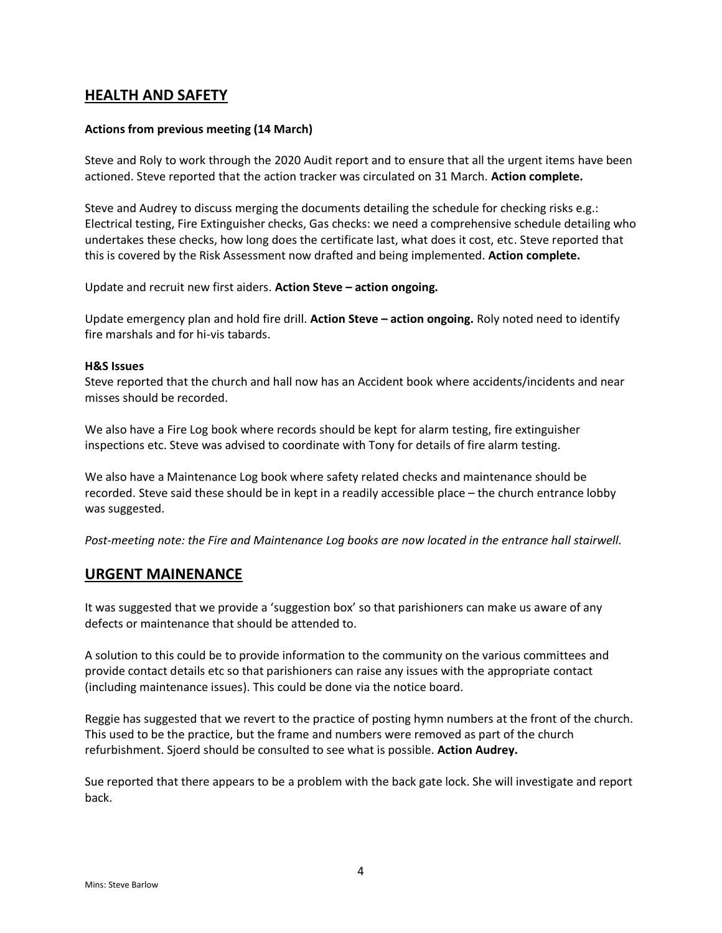## **HEALTH AND SAFETY**

## **Actions from previous meeting (14 March)**

Steve and Roly to work through the 2020 Audit report and to ensure that all the urgent items have been actioned. Steve reported that the action tracker was circulated on 31 March. **Action complete.**

Steve and Audrey to discuss merging the documents detailing the schedule for checking risks e.g.: Electrical testing, Fire Extinguisher checks, Gas checks: we need a comprehensive schedule detailing who undertakes these checks, how long does the certificate last, what does it cost, etc. Steve reported that this is covered by the Risk Assessment now drafted and being implemented. **Action complete.**

Update and recruit new first aiders. **Action Steve – action ongoing.**

Update emergency plan and hold fire drill. **Action Steve – action ongoing.** Roly noted need to identify fire marshals and for hi-vis tabards.

#### **H&S Issues**

Steve reported that the church and hall now has an Accident book where accidents/incidents and near misses should be recorded.

We also have a Fire Log book where records should be kept for alarm testing, fire extinguisher inspections etc. Steve was advised to coordinate with Tony for details of fire alarm testing.

We also have a Maintenance Log book where safety related checks and maintenance should be recorded. Steve said these should be in kept in a readily accessible place – the church entrance lobby was suggested.

*Post-meeting note: the Fire and Maintenance Log books are now located in the entrance hall stairwell.*

## **URGENT MAINENANCE**

It was suggested that we provide a 'suggestion box' so that parishioners can make us aware of any defects or maintenance that should be attended to.

A solution to this could be to provide information to the community on the various committees and provide contact details etc so that parishioners can raise any issues with the appropriate contact (including maintenance issues). This could be done via the notice board.

Reggie has suggested that we revert to the practice of posting hymn numbers at the front of the church. This used to be the practice, but the frame and numbers were removed as part of the church refurbishment. Sjoerd should be consulted to see what is possible. **Action Audrey.**

Sue reported that there appears to be a problem with the back gate lock. She will investigate and report back.